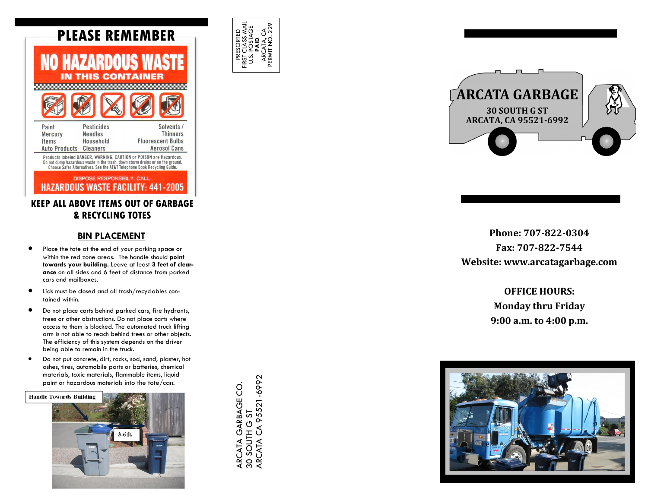

# **& RECYCLING TOTES**

#### **BIN PLACEMENT**

- **•** Place the tote at the end of your parking space or within the red zone areas. The handle should **point towards your building.** Leave at least **3 feet of clearance** on all sides and 6 feet of distance from parked cars and mailboxes.
- Lids must be closed and all trash/recyclables contained within.
- Do not place carts behind parked cars, fire hydrants, trees or other obstructions. Do not place carts where access to them is blocked. The automated truck lifting arm is not able to reach behind trees or other objects. The efficiency of this system depends on the driver being able to remain in the truck.
- Do not put concrete, dirt, rocks, sod, sand, plaster, hot ashes, tires, automobile parts or batteries, chemical materials, toxic materials, flammable items, liquid paint or hazardous materials into the tote/can.

**Handle Towards Building** 





PRESORTED FIRST CLASS MAIL U.S. POSTAGE **PAID** ARCATA, CA<br>PERMIT NO. 229 PERMIT NO. 229

ö

v.



### **Phone: 707 -822 -0304 Fax: 707 -822 -7544 Website: www.arcatagarbage.com**

**OFFICE HOURS: Monday thru Friday 9:00 a.m. to 4:00 p.m.**